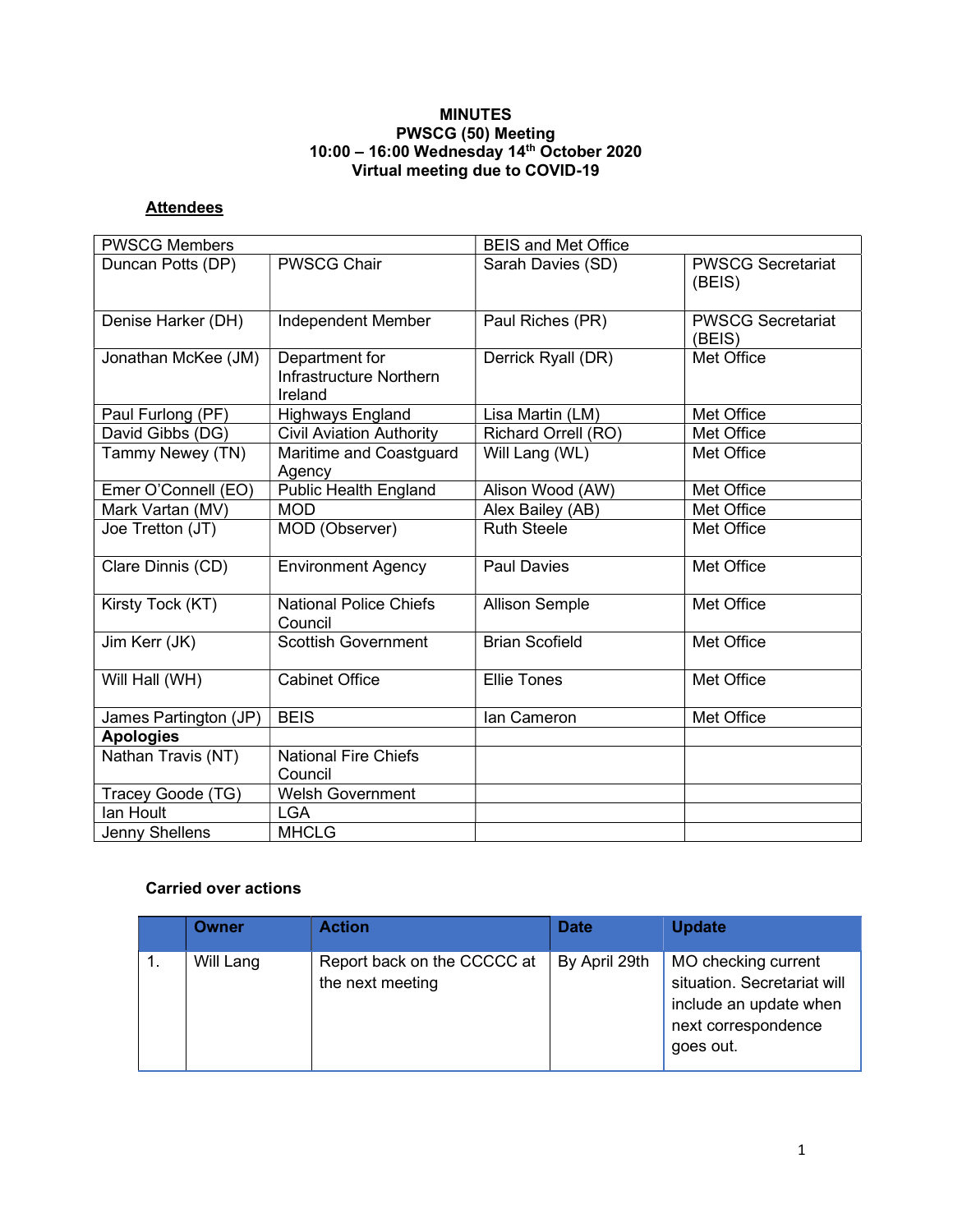### MINUTES PWSCG (50) Meeting 10:00 – 16:00 Wednesday 14th October 2020 Virtual meeting due to COVID-19

# **Attendees**

| <b>PWSCG Members</b>  |                                                             | <b>BEIS and Met Office</b> |                                    |  |
|-----------------------|-------------------------------------------------------------|----------------------------|------------------------------------|--|
| Duncan Potts (DP)     | <b>PWSCG Chair</b>                                          | Sarah Davies (SD)          | <b>PWSCG Secretariat</b><br>(BEIS) |  |
| Denise Harker (DH)    | Independent Member                                          | Paul Riches (PR)           | <b>PWSCG Secretariat</b><br>(BEIS) |  |
| Jonathan McKee (JM)   | Department for<br><b>Infrastructure Northern</b><br>Ireland | Derrick Ryall (DR)         | Met Office                         |  |
| Paul Furlong (PF)     | <b>Highways England</b>                                     | Lisa Martin (LM)           | Met Office                         |  |
| David Gibbs (DG)      | <b>Civil Aviation Authority</b>                             | Richard Orrell (RO)        | Met Office                         |  |
| Tammy Newey (TN)      | Maritime and Coastguard<br>Agency                           | Will Lang (WL)             | Met Office                         |  |
| Emer O'Connell (EO)   | <b>Public Health England</b>                                | Alison Wood (AW)           | Met Office                         |  |
| Mark Vartan (MV)      | <b>MOD</b>                                                  | Alex Bailey (AB)           | Met Office                         |  |
| Joe Tretton (JT)      | MOD (Observer)                                              | <b>Ruth Steele</b>         | Met Office                         |  |
| Clare Dinnis (CD)     | <b>Environment Agency</b>                                   | Paul Davies                | Met Office                         |  |
| Kirsty Tock (KT)      | <b>National Police Chiefs</b><br>Council                    | <b>Allison Semple</b>      | Met Office                         |  |
| Jim Kerr (JK)         | <b>Scottish Government</b>                                  | <b>Brian Scofield</b>      | Met Office                         |  |
| Will Hall (WH)        | <b>Cabinet Office</b>                                       | <b>Ellie Tones</b>         | Met Office                         |  |
| James Partington (JP) | <b>BEIS</b>                                                 | lan Cameron                | Met Office                         |  |
| <b>Apologies</b>      |                                                             |                            |                                    |  |
| Nathan Travis (NT)    | <b>National Fire Chiefs</b><br>Council                      |                            |                                    |  |
| Tracey Goode (TG)     | Welsh Government                                            |                            |                                    |  |
| lan Hoult             | <b>LGA</b>                                                  |                            |                                    |  |
| Jenny Shellens        | <b>MHCLG</b>                                                |                            |                                    |  |

## Carried over actions

| Owner     | <b>Action</b>                                   | <b>Date</b>   | <b>Update</b>                                                                                                    |
|-----------|-------------------------------------------------|---------------|------------------------------------------------------------------------------------------------------------------|
| Will Lang | Report back on the CCCCC at<br>the next meeting | By April 29th | MO checking current<br>situation. Secretariat will<br>include an update when<br>next correspondence<br>goes out. |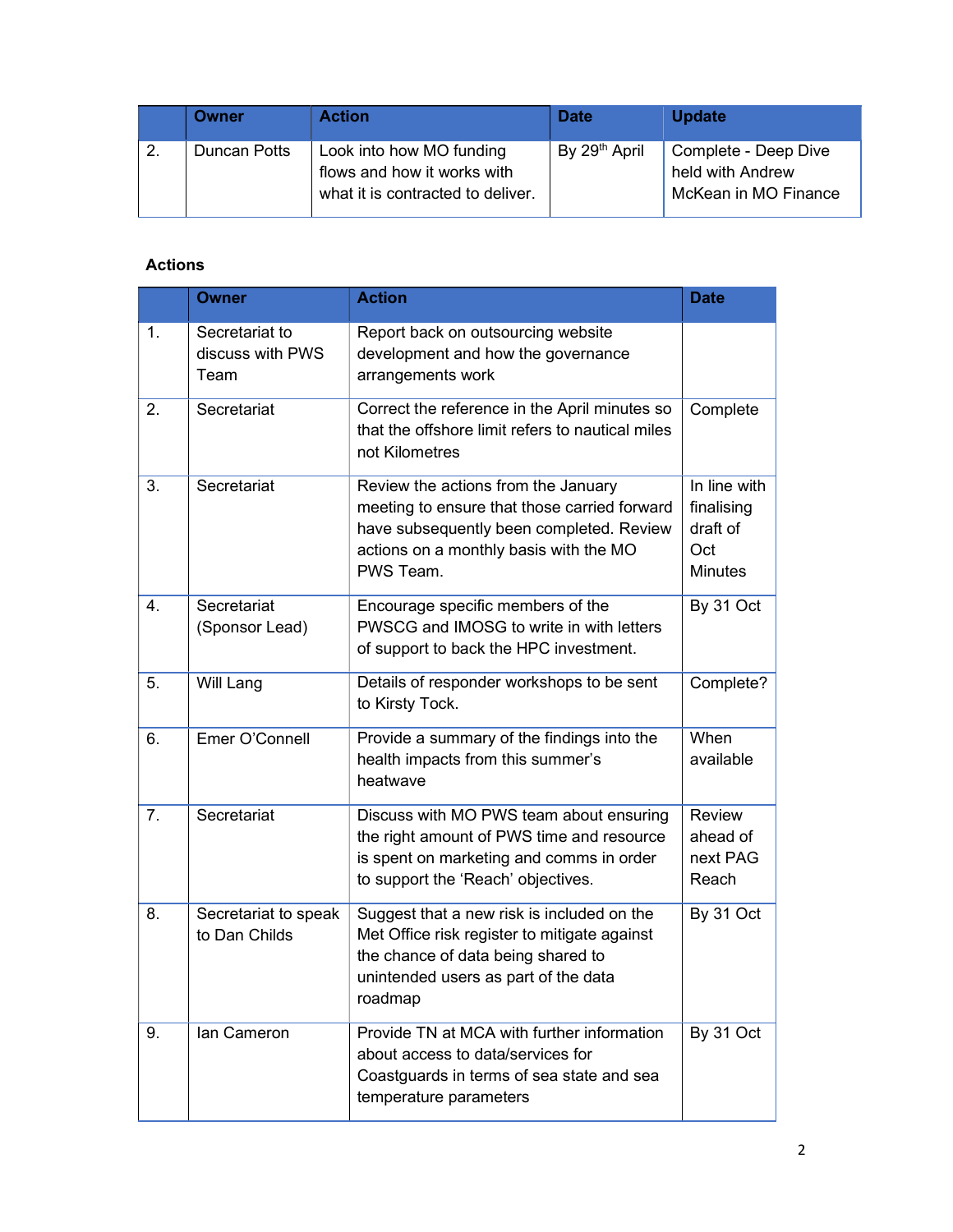|    | Owner        | <b>Action</b>                                                                                | <b>Date</b>   | <b>Update</b>                                                    |
|----|--------------|----------------------------------------------------------------------------------------------|---------------|------------------------------------------------------------------|
| 2. | Duncan Potts | Look into how MO funding<br>flows and how it works with<br>what it is contracted to deliver. | By 29th April | Complete - Deep Dive<br>held with Andrew<br>McKean in MO Finance |

# Actions

|                | <b>Owner</b>                               | <b>Action</b>                                                                                                                                                                          | <b>Date</b>                                                     |
|----------------|--------------------------------------------|----------------------------------------------------------------------------------------------------------------------------------------------------------------------------------------|-----------------------------------------------------------------|
| $\mathbf{1}$ . | Secretariat to<br>discuss with PWS<br>Team | Report back on outsourcing website<br>development and how the governance<br>arrangements work                                                                                          |                                                                 |
| 2.             | Secretariat                                | Correct the reference in the April minutes so<br>that the offshore limit refers to nautical miles<br>not Kilometres                                                                    | Complete                                                        |
| 3.             | Secretariat                                | Review the actions from the January<br>meeting to ensure that those carried forward<br>have subsequently been completed. Review<br>actions on a monthly basis with the MO<br>PWS Team. | In line with<br>finalising<br>draft of<br>Oct<br><b>Minutes</b> |
| 4.             | Secretariat<br>(Sponsor Lead)              | Encourage specific members of the<br>PWSCG and IMOSG to write in with letters<br>of support to back the HPC investment.                                                                | By 31 Oct                                                       |
| 5.             | Will Lang                                  | Details of responder workshops to be sent<br>to Kirsty Tock.                                                                                                                           | Complete?                                                       |
| 6.             | Emer O'Connell                             | Provide a summary of the findings into the<br>health impacts from this summer's<br>heatwave                                                                                            | When<br>available                                               |
| 7.             | Secretariat                                | Discuss with MO PWS team about ensuring<br>the right amount of PWS time and resource<br>is spent on marketing and comms in order<br>to support the 'Reach' objectives.                 | Review<br>ahead of<br>next PAG<br>Reach                         |
| 8.             | Secretariat to speak<br>to Dan Childs      | Suggest that a new risk is included on the<br>Met Office risk register to mitigate against<br>the chance of data being shared to<br>unintended users as part of the data<br>roadmap    | By 31 Oct                                                       |
| 9.             | Ian Cameron                                | Provide TN at MCA with further information<br>about access to data/services for<br>Coastguards in terms of sea state and sea<br>temperature parameters                                 | By 31 Oct                                                       |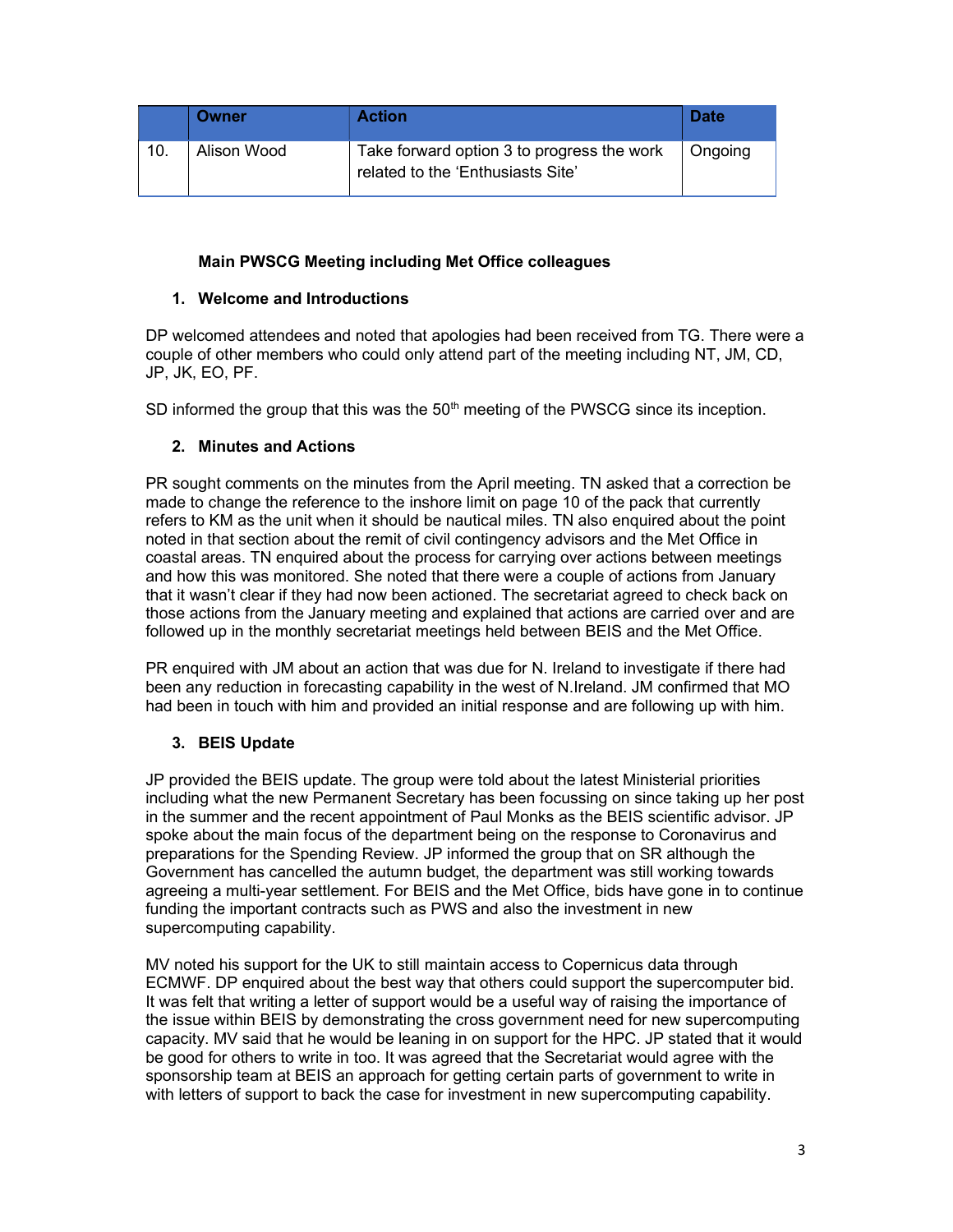|     | <b>Owner</b> | <b>Action</b>                                                                   | <b>Date</b> |
|-----|--------------|---------------------------------------------------------------------------------|-------------|
| 10. | Alison Wood  | Take forward option 3 to progress the work<br>related to the 'Enthusiasts Site' | Ongoing     |

### Main PWSCG Meeting including Met Office colleagues

### 1. Welcome and Introductions

DP welcomed attendees and noted that apologies had been received from TG. There were a couple of other members who could only attend part of the meeting including NT, JM, CD, JP, JK, EO, PF.

SD informed the group that this was the  $50<sup>th</sup>$  meeting of the PWSCG since its inception.

### 2. Minutes and Actions

PR sought comments on the minutes from the April meeting. TN asked that a correction be made to change the reference to the inshore limit on page 10 of the pack that currently refers to KM as the unit when it should be nautical miles. TN also enquired about the point noted in that section about the remit of civil contingency advisors and the Met Office in coastal areas. TN enquired about the process for carrying over actions between meetings and how this was monitored. She noted that there were a couple of actions from January that it wasn't clear if they had now been actioned. The secretariat agreed to check back on those actions from the January meeting and explained that actions are carried over and are followed up in the monthly secretariat meetings held between BEIS and the Met Office.

PR enquired with JM about an action that was due for N. Ireland to investigate if there had been any reduction in forecasting capability in the west of N.Ireland. JM confirmed that MO had been in touch with him and provided an initial response and are following up with him.

### 3. BEIS Update

JP provided the BEIS update. The group were told about the latest Ministerial priorities including what the new Permanent Secretary has been focussing on since taking up her post in the summer and the recent appointment of Paul Monks as the BEIS scientific advisor. JP spoke about the main focus of the department being on the response to Coronavirus and preparations for the Spending Review. JP informed the group that on SR although the Government has cancelled the autumn budget, the department was still working towards agreeing a multi-year settlement. For BEIS and the Met Office, bids have gone in to continue funding the important contracts such as PWS and also the investment in new supercomputing capability.

MV noted his support for the UK to still maintain access to Copernicus data through ECMWF. DP enquired about the best way that others could support the supercomputer bid. It was felt that writing a letter of support would be a useful way of raising the importance of the issue within BEIS by demonstrating the cross government need for new supercomputing capacity. MV said that he would be leaning in on support for the HPC. JP stated that it would be good for others to write in too. It was agreed that the Secretariat would agree with the sponsorship team at BEIS an approach for getting certain parts of government to write in with letters of support to back the case for investment in new supercomputing capability.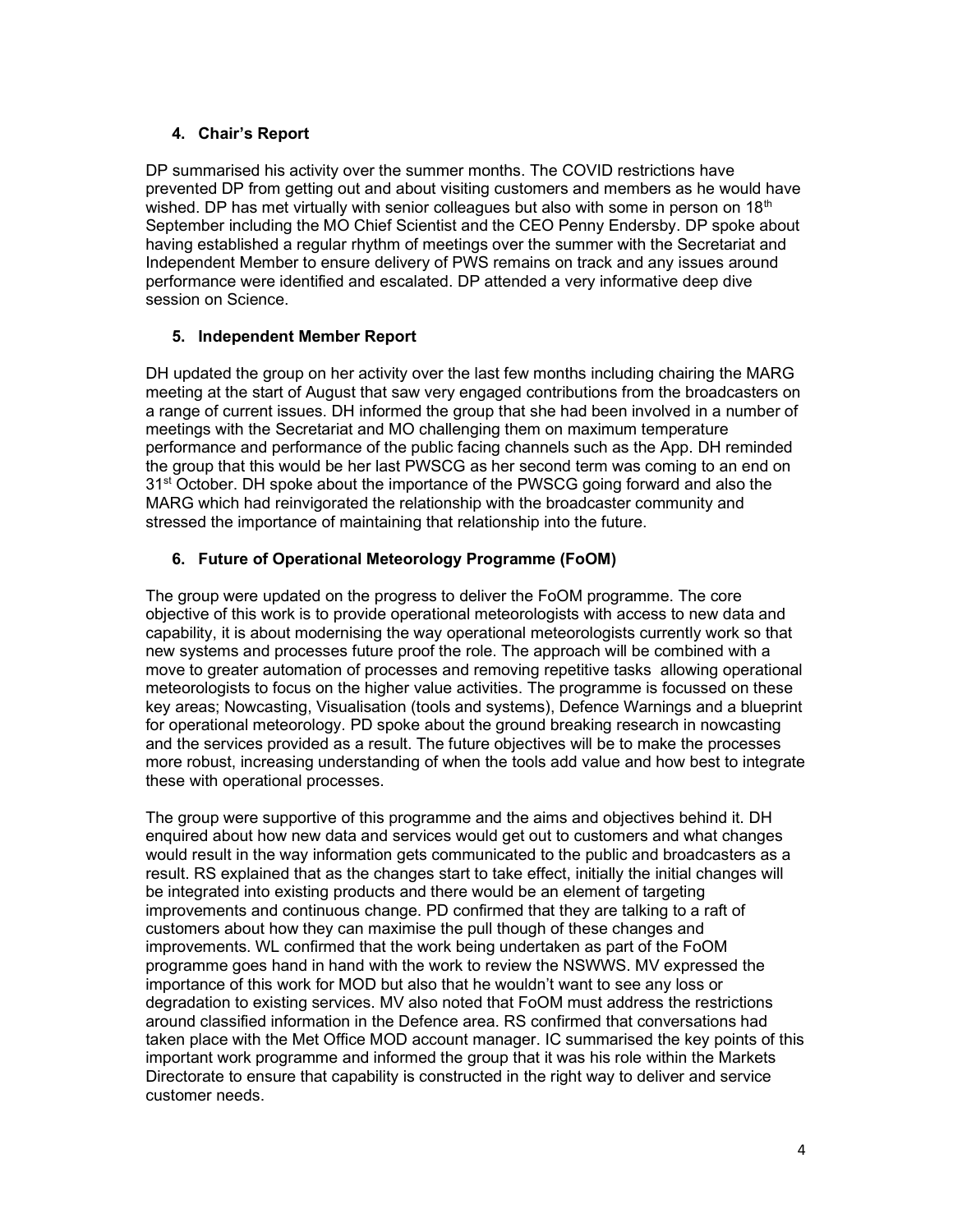## 4. Chair's Report

DP summarised his activity over the summer months. The COVID restrictions have prevented DP from getting out and about visiting customers and members as he would have wished. DP has met virtually with senior colleagues but also with some in person on  $18<sup>th</sup>$ September including the MO Chief Scientist and the CEO Penny Endersby. DP spoke about having established a regular rhythm of meetings over the summer with the Secretariat and Independent Member to ensure delivery of PWS remains on track and any issues around performance were identified and escalated. DP attended a very informative deep dive session on Science.

### 5. Independent Member Report

DH updated the group on her activity over the last few months including chairing the MARG meeting at the start of August that saw very engaged contributions from the broadcasters on a range of current issues. DH informed the group that she had been involved in a number of meetings with the Secretariat and MO challenging them on maximum temperature performance and performance of the public facing channels such as the App. DH reminded the group that this would be her last PWSCG as her second term was coming to an end on 31<sup>st</sup> October. DH spoke about the importance of the PWSCG going forward and also the MARG which had reinvigorated the relationship with the broadcaster community and stressed the importance of maintaining that relationship into the future.

### 6. Future of Operational Meteorology Programme (FoOM)

The group were updated on the progress to deliver the FoOM programme. The core objective of this work is to provide operational meteorologists with access to new data and capability, it is about modernising the way operational meteorologists currently work so that new systems and processes future proof the role. The approach will be combined with a move to greater automation of processes and removing repetitive tasks allowing operational meteorologists to focus on the higher value activities. The programme is focussed on these key areas; Nowcasting, Visualisation (tools and systems), Defence Warnings and a blueprint for operational meteorology. PD spoke about the ground breaking research in nowcasting and the services provided as a result. The future objectives will be to make the processes more robust, increasing understanding of when the tools add value and how best to integrate these with operational processes.

The group were supportive of this programme and the aims and objectives behind it. DH enquired about how new data and services would get out to customers and what changes would result in the way information gets communicated to the public and broadcasters as a result. RS explained that as the changes start to take effect, initially the initial changes will be integrated into existing products and there would be an element of targeting improvements and continuous change. PD confirmed that they are talking to a raft of customers about how they can maximise the pull though of these changes and improvements. WL confirmed that the work being undertaken as part of the FoOM programme goes hand in hand with the work to review the NSWWS. MV expressed the importance of this work for MOD but also that he wouldn't want to see any loss or degradation to existing services. MV also noted that FoOM must address the restrictions around classified information in the Defence area. RS confirmed that conversations had taken place with the Met Office MOD account manager. IC summarised the key points of this important work programme and informed the group that it was his role within the Markets Directorate to ensure that capability is constructed in the right way to deliver and service customer needs.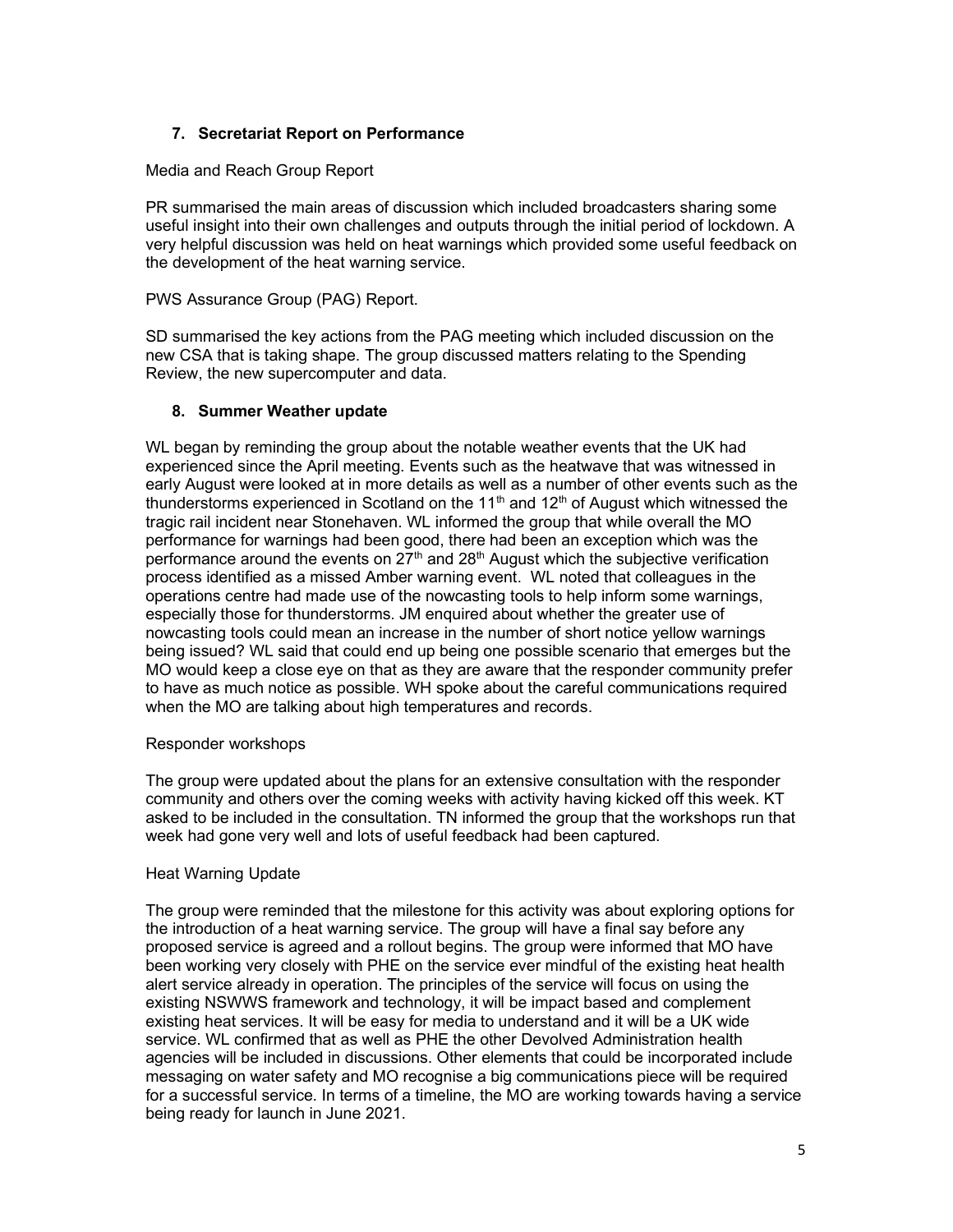## 7. Secretariat Report on Performance

### Media and Reach Group Report

PR summarised the main areas of discussion which included broadcasters sharing some useful insight into their own challenges and outputs through the initial period of lockdown. A very helpful discussion was held on heat warnings which provided some useful feedback on the development of the heat warning service.

### PWS Assurance Group (PAG) Report.

SD summarised the key actions from the PAG meeting which included discussion on the new CSA that is taking shape. The group discussed matters relating to the Spending Review, the new supercomputer and data.

### 8. Summer Weather update

WL began by reminding the group about the notable weather events that the UK had experienced since the April meeting. Events such as the heatwave that was witnessed in early August were looked at in more details as well as a number of other events such as the thunderstorms experienced in Scotland on the 11<sup>th</sup> and 12<sup>th</sup> of August which witnessed the tragic rail incident near Stonehaven. WL informed the group that while overall the MO performance for warnings had been good, there had been an exception which was the performance around the events on  $27<sup>th</sup>$  and  $28<sup>th</sup>$  August which the subjective verification process identified as a missed Amber warning event. WL noted that colleagues in the operations centre had made use of the nowcasting tools to help inform some warnings, especially those for thunderstorms. JM enquired about whether the greater use of nowcasting tools could mean an increase in the number of short notice yellow warnings being issued? WL said that could end up being one possible scenario that emerges but the MO would keep a close eye on that as they are aware that the responder community prefer to have as much notice as possible. WH spoke about the careful communications required when the MO are talking about high temperatures and records.

#### Responder workshops

The group were updated about the plans for an extensive consultation with the responder community and others over the coming weeks with activity having kicked off this week. KT asked to be included in the consultation. TN informed the group that the workshops run that week had gone very well and lots of useful feedback had been captured.

#### Heat Warning Update

The group were reminded that the milestone for this activity was about exploring options for the introduction of a heat warning service. The group will have a final say before any proposed service is agreed and a rollout begins. The group were informed that MO have been working very closely with PHE on the service ever mindful of the existing heat health alert service already in operation. The principles of the service will focus on using the existing NSWWS framework and technology, it will be impact based and complement existing heat services. It will be easy for media to understand and it will be a UK wide service. WL confirmed that as well as PHE the other Devolved Administration health agencies will be included in discussions. Other elements that could be incorporated include messaging on water safety and MO recognise a big communications piece will be required for a successful service. In terms of a timeline, the MO are working towards having a service being ready for launch in June 2021.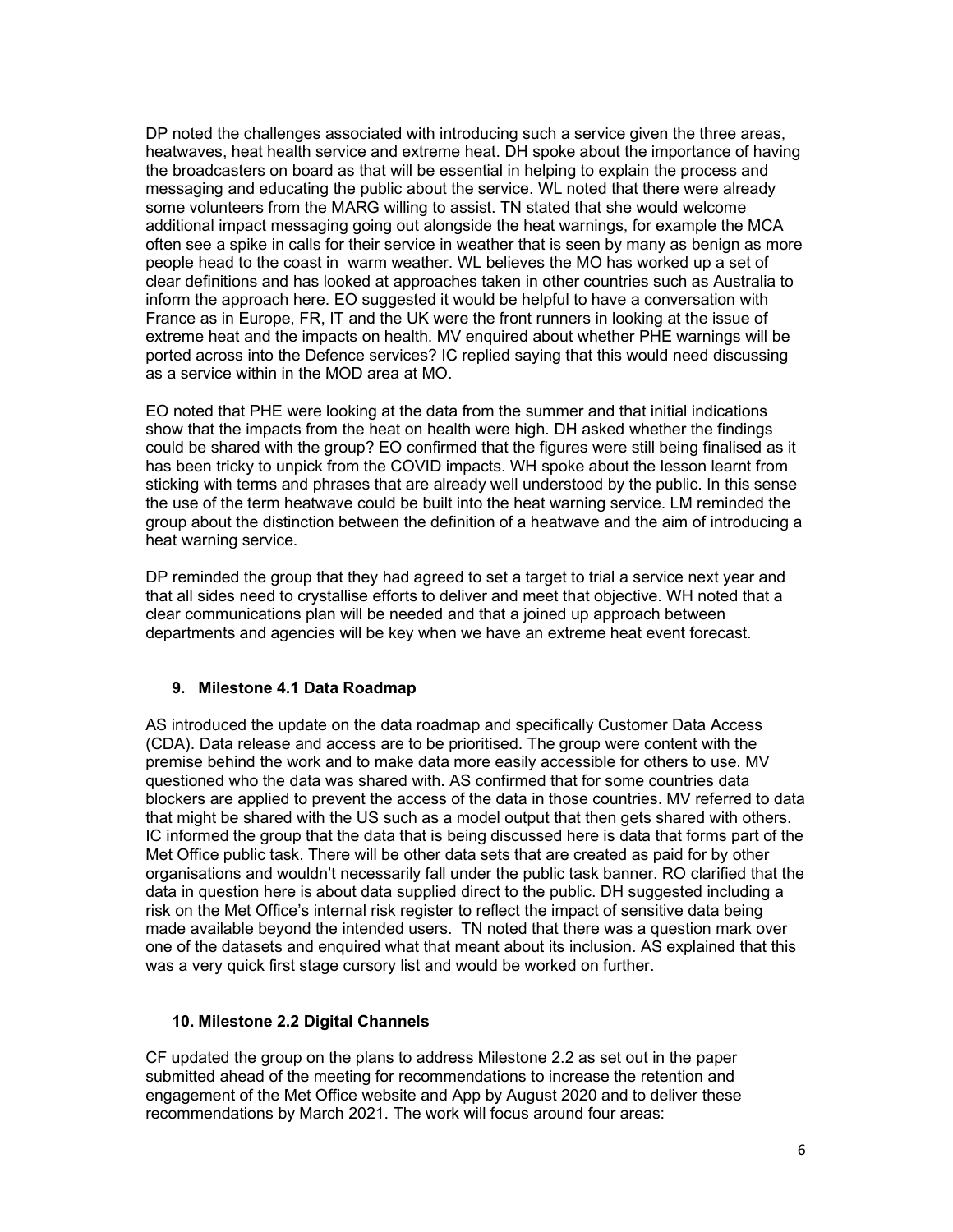DP noted the challenges associated with introducing such a service given the three areas, heatwaves, heat health service and extreme heat. DH spoke about the importance of having the broadcasters on board as that will be essential in helping to explain the process and messaging and educating the public about the service. WL noted that there were already some volunteers from the MARG willing to assist. TN stated that she would welcome additional impact messaging going out alongside the heat warnings, for example the MCA often see a spike in calls for their service in weather that is seen by many as benign as more people head to the coast in warm weather. WL believes the MO has worked up a set of clear definitions and has looked at approaches taken in other countries such as Australia to inform the approach here. EO suggested it would be helpful to have a conversation with France as in Europe, FR, IT and the UK were the front runners in looking at the issue of extreme heat and the impacts on health. MV enquired about whether PHE warnings will be ported across into the Defence services? IC replied saying that this would need discussing as a service within in the MOD area at MO.

EO noted that PHE were looking at the data from the summer and that initial indications show that the impacts from the heat on health were high. DH asked whether the findings could be shared with the group? EO confirmed that the figures were still being finalised as it has been tricky to unpick from the COVID impacts. WH spoke about the lesson learnt from sticking with terms and phrases that are already well understood by the public. In this sense the use of the term heatwave could be built into the heat warning service. LM reminded the group about the distinction between the definition of a heatwave and the aim of introducing a heat warning service.

DP reminded the group that they had agreed to set a target to trial a service next year and that all sides need to crystallise efforts to deliver and meet that objective. WH noted that a clear communications plan will be needed and that a joined up approach between departments and agencies will be key when we have an extreme heat event forecast.

### 9. Milestone 4.1 Data Roadmap

AS introduced the update on the data roadmap and specifically Customer Data Access (CDA). Data release and access are to be prioritised. The group were content with the premise behind the work and to make data more easily accessible for others to use. MV questioned who the data was shared with. AS confirmed that for some countries data blockers are applied to prevent the access of the data in those countries. MV referred to data that might be shared with the US such as a model output that then gets shared with others. IC informed the group that the data that is being discussed here is data that forms part of the Met Office public task. There will be other data sets that are created as paid for by other organisations and wouldn't necessarily fall under the public task banner. RO clarified that the data in question here is about data supplied direct to the public. DH suggested including a risk on the Met Office's internal risk register to reflect the impact of sensitive data being made available beyond the intended users. TN noted that there was a question mark over one of the datasets and enquired what that meant about its inclusion. AS explained that this was a very quick first stage cursory list and would be worked on further.

#### 10. Milestone 2.2 Digital Channels

CF updated the group on the plans to address Milestone 2.2 as set out in the paper submitted ahead of the meeting for recommendations to increase the retention and engagement of the Met Office website and App by August 2020 and to deliver these recommendations by March 2021. The work will focus around four areas: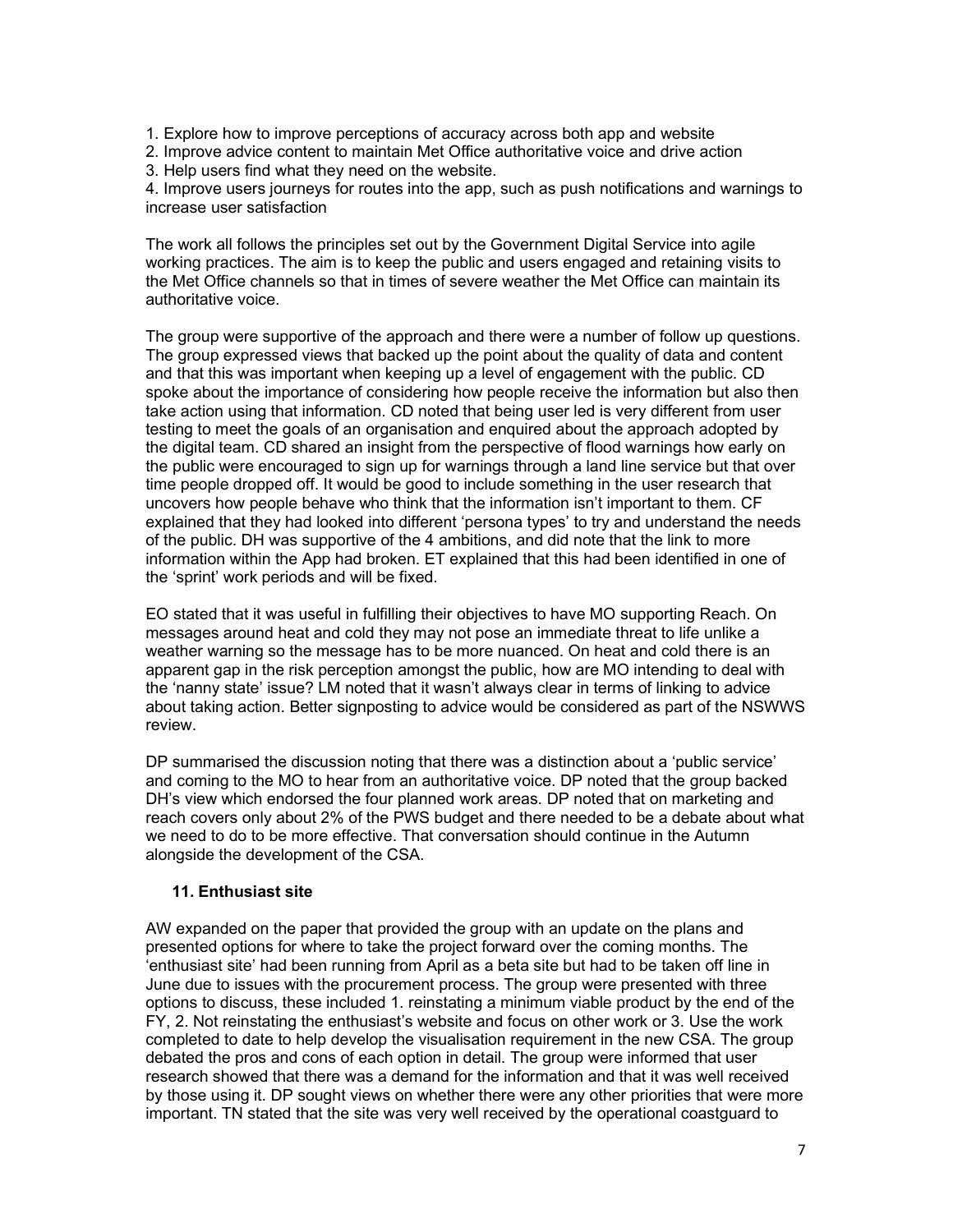- 1. Explore how to improve perceptions of accuracy across both app and website
- 2. Improve advice content to maintain Met Office authoritative voice and drive action
- 3. Help users find what they need on the website.

4. Improve users journeys for routes into the app, such as push notifications and warnings to increase user satisfaction

The work all follows the principles set out by the Government Digital Service into agile working practices. The aim is to keep the public and users engaged and retaining visits to the Met Office channels so that in times of severe weather the Met Office can maintain its authoritative voice.

The group were supportive of the approach and there were a number of follow up questions. The group expressed views that backed up the point about the quality of data and content and that this was important when keeping up a level of engagement with the public. CD spoke about the importance of considering how people receive the information but also then take action using that information. CD noted that being user led is very different from user testing to meet the goals of an organisation and enquired about the approach adopted by the digital team. CD shared an insight from the perspective of flood warnings how early on the public were encouraged to sign up for warnings through a land line service but that over time people dropped off. It would be good to include something in the user research that uncovers how people behave who think that the information isn't important to them. CF explained that they had looked into different 'persona types' to try and understand the needs of the public. DH was supportive of the 4 ambitions, and did note that the link to more information within the App had broken. ET explained that this had been identified in one of the 'sprint' work periods and will be fixed.

EO stated that it was useful in fulfilling their objectives to have MO supporting Reach. On messages around heat and cold they may not pose an immediate threat to life unlike a weather warning so the message has to be more nuanced. On heat and cold there is an apparent gap in the risk perception amongst the public, how are MO intending to deal with the 'nanny state' issue? LM noted that it wasn't always clear in terms of linking to advice about taking action. Better signposting to advice would be considered as part of the NSWWS review.

DP summarised the discussion noting that there was a distinction about a 'public service' and coming to the MO to hear from an authoritative voice. DP noted that the group backed DH's view which endorsed the four planned work areas. DP noted that on marketing and reach covers only about 2% of the PWS budget and there needed to be a debate about what we need to do to be more effective. That conversation should continue in the Autumn alongside the development of the CSA.

#### 11. Enthusiast site

AW expanded on the paper that provided the group with an update on the plans and presented options for where to take the project forward over the coming months. The 'enthusiast site' had been running from April as a beta site but had to be taken off line in June due to issues with the procurement process. The group were presented with three options to discuss, these included 1. reinstating a minimum viable product by the end of the FY, 2. Not reinstating the enthusiast's website and focus on other work or 3. Use the work completed to date to help develop the visualisation requirement in the new CSA. The group debated the pros and cons of each option in detail. The group were informed that user research showed that there was a demand for the information and that it was well received by those using it. DP sought views on whether there were any other priorities that were more important. TN stated that the site was very well received by the operational coastguard to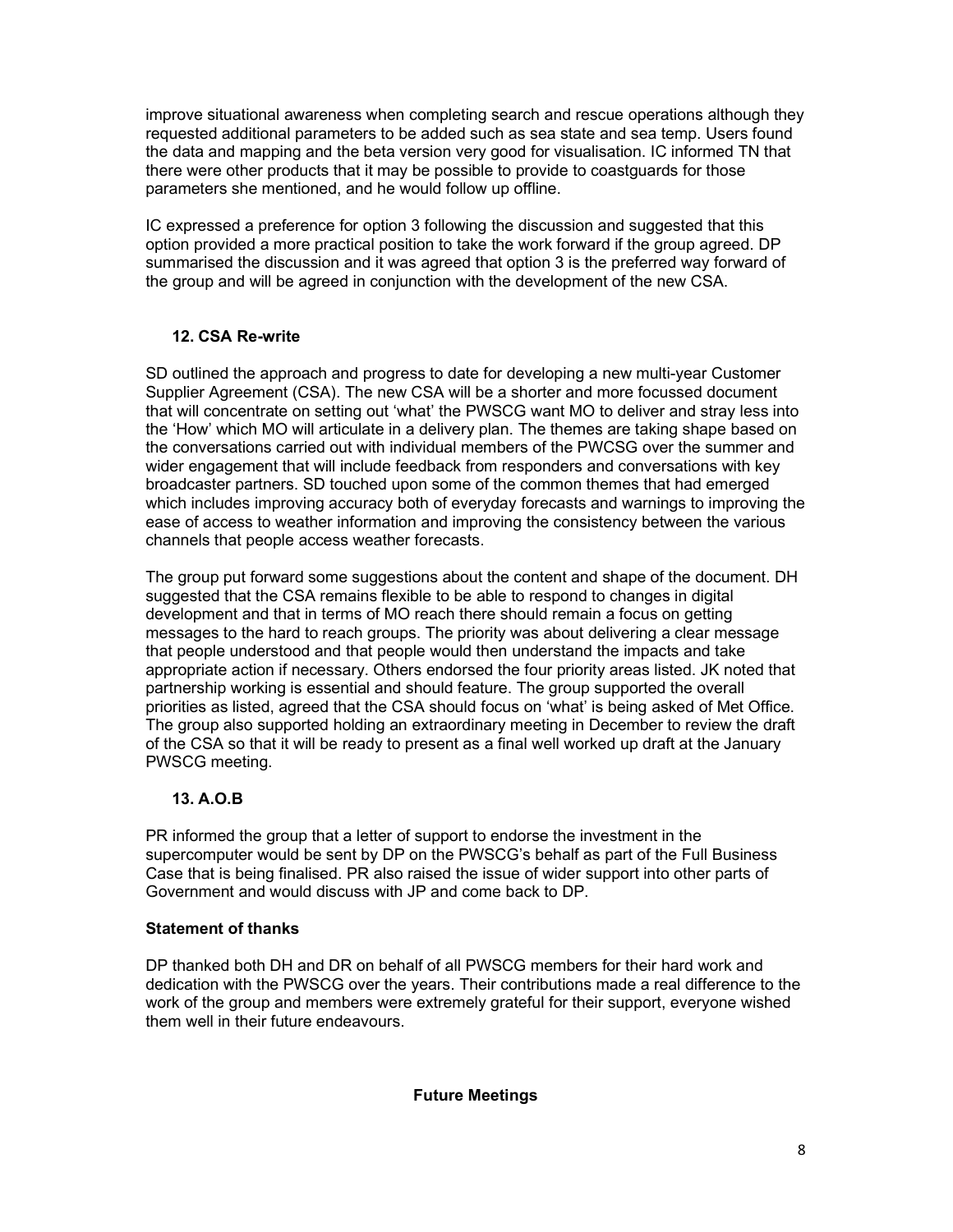improve situational awareness when completing search and rescue operations although they requested additional parameters to be added such as sea state and sea temp. Users found the data and mapping and the beta version very good for visualisation. IC informed TN that there were other products that it may be possible to provide to coastguards for those parameters she mentioned, and he would follow up offline.

IC expressed a preference for option 3 following the discussion and suggested that this option provided a more practical position to take the work forward if the group agreed. DP summarised the discussion and it was agreed that option 3 is the preferred way forward of the group and will be agreed in conjunction with the development of the new CSA.

## 12. CSA Re-write

SD outlined the approach and progress to date for developing a new multi-year Customer Supplier Agreement (CSA). The new CSA will be a shorter and more focussed document that will concentrate on setting out 'what' the PWSCG want MO to deliver and stray less into the 'How' which MO will articulate in a delivery plan. The themes are taking shape based on the conversations carried out with individual members of the PWCSG over the summer and wider engagement that will include feedback from responders and conversations with key broadcaster partners. SD touched upon some of the common themes that had emerged which includes improving accuracy both of everyday forecasts and warnings to improving the ease of access to weather information and improving the consistency between the various channels that people access weather forecasts.

The group put forward some suggestions about the content and shape of the document. DH suggested that the CSA remains flexible to be able to respond to changes in digital development and that in terms of MO reach there should remain a focus on getting messages to the hard to reach groups. The priority was about delivering a clear message that people understood and that people would then understand the impacts and take appropriate action if necessary. Others endorsed the four priority areas listed. JK noted that partnership working is essential and should feature. The group supported the overall priorities as listed, agreed that the CSA should focus on 'what' is being asked of Met Office. The group also supported holding an extraordinary meeting in December to review the draft of the CSA so that it will be ready to present as a final well worked up draft at the January PWSCG meeting.

# 13. A.O.B

PR informed the group that a letter of support to endorse the investment in the supercomputer would be sent by DP on the PWSCG's behalf as part of the Full Business Case that is being finalised. PR also raised the issue of wider support into other parts of Government and would discuss with JP and come back to DP.

### Statement of thanks

DP thanked both DH and DR on behalf of all PWSCG members for their hard work and dedication with the PWSCG over the years. Their contributions made a real difference to the work of the group and members were extremely grateful for their support, everyone wished them well in their future endeavours.

Future Meetings